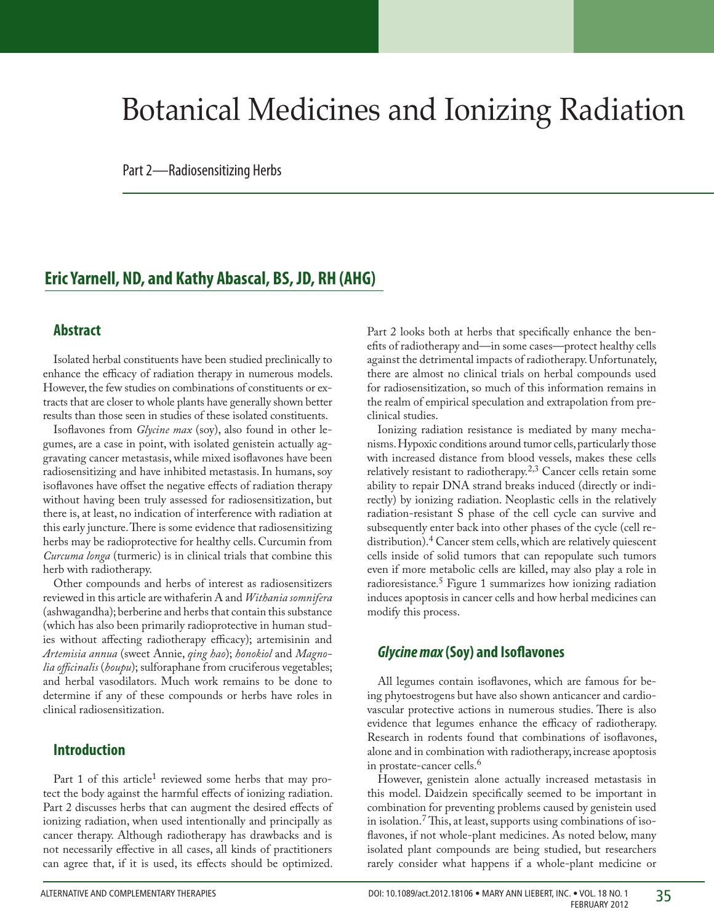# Botanical Medicines and Ionizing Radiation

Part 2—Radiosensitizing Herbs

## **Eric Yarnell, ND, and Kathy Abascal, BS, JD, RH (AHG)**

#### **Abstract**

Isolated herbal constituents have been studied preclinically to enhance the efficacy of radiation therapy in numerous models. However, the few studies on combinations of constituents or extracts that are closer to whole plants have generally shown better results than those seen in studies of these isolated constituents.

Isoflavones from *Glycine max* (soy), also found in other legumes, are a case in point, with isolated genistein actually aggravating cancer metastasis, while mixed isoflavones have been radiosensitizing and have inhibited metastasis. In humans, soy isoflavones have offset the negative effects of radiation therapy without having been truly assessed for radiosensitization, but there is, at least, no indication of interference with radiation at this early juncture. There is some evidence that radiosensitizing herbs may be radioprotective for healthy cells. Curcumin from *Curcuma longa* (turmeric) is in clinical trials that combine this herb with radiotherapy.

Other compounds and herbs of interest as radiosensitizers reviewed in this article are withaferin A and *Withania somnifera* (ashwagandha); berberine and herbs that contain this substance (which has also been primarily radioprotective in human studies without affecting radiotherapy efficacy); artemisinin and *Artemisia annua* (sweet Annie, *qing hao*); *honokiol* and *Magnolia officinalis* (*houpu*); sulforaphane from cruciferous vegetables; and herbal vasodilators. Much work remains to be done to determine if any of these compounds or herbs have roles in clinical radiosensitization.

### **Introduction**

Part 1 of this article<sup>1</sup> reviewed some herbs that may protect the body against the harmful effects of ionizing radiation. Part 2 discusses herbs that can augment the desired effects of ionizing radiation, when used intentionally and principally as cancer therapy. Although radiotherapy has drawbacks and is not necessarily effective in all cases, all kinds of practitioners can agree that, if it is used, its effects should be optimized.

Part 2 looks both at herbs that specifically enhance the benefits of radiotherapy and—in some cases—protect healthy cells against the detrimental impacts of radiotherapy. Unfortunately, there are almost no clinical trials on herbal compounds used for radiosensitization, so much of this information remains in the realm of empirical speculation and extrapolation from preclinical studies.

Ionizing radiation resistance is mediated by many mechanisms. Hypoxic conditions around tumor cells, particularly those with increased distance from blood vessels, makes these cells relatively resistant to radiotherapy.<sup>2,3</sup> Cancer cells retain some ability to repair DNA strand breaks induced (directly or indirectly) by ionizing radiation. Neoplastic cells in the relatively radiation-resistant S phase of the cell cycle can survive and subsequently enter back into other phases of the cycle (cell redistribution).<sup>4</sup> Cancer stem cells, which are relatively quiescent cells inside of solid tumors that can repopulate such tumors even if more metabolic cells are killed, may also play a role in radioresistance.5 Figure 1 summarizes how ionizing radiation induces apoptosis in cancer cells and how herbal medicines can modify this process.

#### *Glycine max* **(Soy) and Isoflavones**

All legumes contain isoflavones, which are famous for being phytoestrogens but have also shown anticancer and cardiovascular protective actions in numerous studies. There is also evidence that legumes enhance the efficacy of radiotherapy. Research in rodents found that combinations of isoflavones, alone and in combination with radiotherapy, increase apoptosis in prostate-cancer cells.<sup>6</sup>

However, genistein alone actually increased metastasis in this model. Daidzein specifically seemed to be important in combination for preventing problems caused by genistein used in isolation.7 This, at least, supports using combinations of isoflavones, if not whole-plant medicines. As noted below, many isolated plant compounds are being studied, but researchers rarely consider what happens if a whole-plant medicine or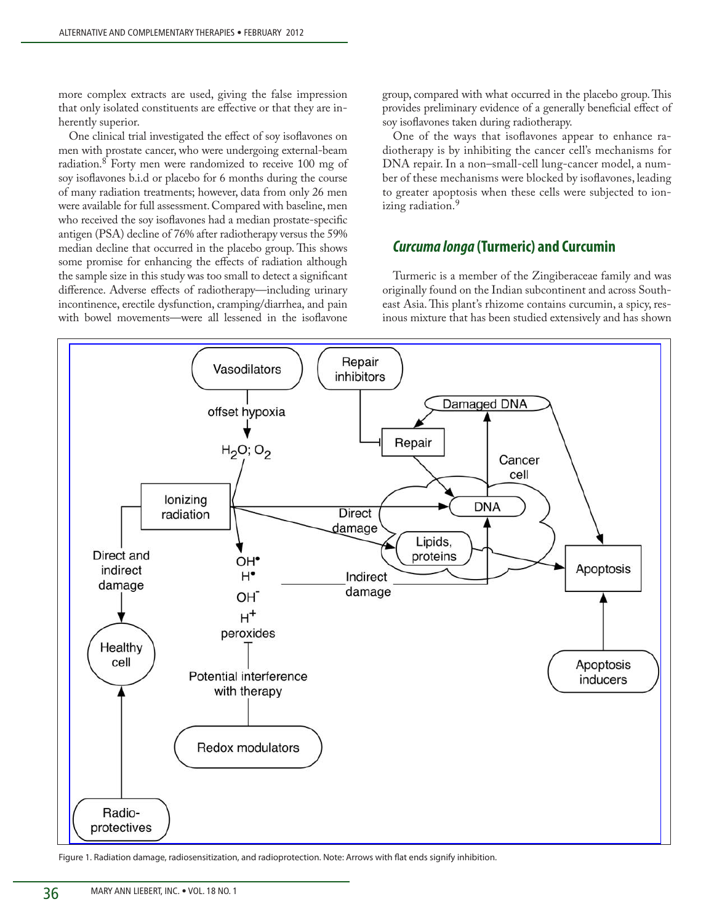more complex extracts are used, giving the false impression that only isolated constituents are effective or that they are inherently superior.

One clinical trial investigated the effect of soy isoflavones on men with prostate cancer, who were undergoing external-beam radiation.8 Forty men were randomized to receive 100 mg of soy isoflavones b.i.d or placebo for 6 months during the course of many radiation treatments; however, data from only 26 men were available for full assessment. Compared with baseline, men who received the soy isoflavones had a median prostate-specific antigen (PSA) decline of 76% after radiotherapy versus the 59% median decline that occurred in the placebo group. This shows some promise for enhancing the effects of radiation although the sample size in this study was too small to detect a significant difference. Adverse effects of radiotherapy—including urinary incontinence, erectile dysfunction, cramping/diarrhea, and pain with bowel movements—were all lessened in the isoflavone

group, compared with what occurred in the placebo group. This provides preliminary evidence of a generally beneficial effect of soy isoflavones taken during radiotherapy.

One of the ways that isoflavones appear to enhance radiotherapy is by inhibiting the cancer cell's mechanisms for DNA repair. In a non–small-cell lung-cancer model, a number of these mechanisms were blocked by isoflavones, leading to greater apoptosis when these cells were subjected to ionizing radiation.<sup>9</sup>

#### *Curcuma longa* **(Turmeric) and Curcumin**

Turmeric is a member of the Zingiberaceae family and was originally found on the Indian subcontinent and across Southeast Asia. This plant's rhizome contains curcumin, a spicy, resinous mixture that has been studied extensively and has shown



Figure 1. Radiation damage, radiosensitization, and radioprotection. Note: Arrows with flat ends signify inhibition.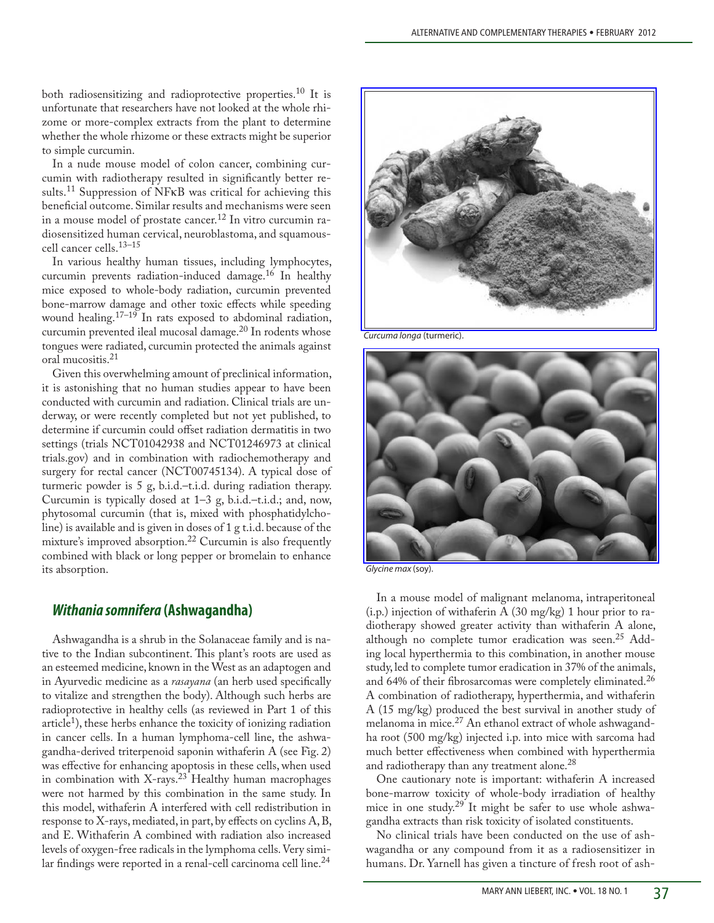both radiosensitizing and radioprotective properties.10 It is unfortunate that researchers have not looked at the whole rhizome or more-complex extracts from the plant to determine whether the whole rhizome or these extracts might be superior to simple curcumin.

In a nude mouse model of colon cancer, combining curcumin with radiotherapy resulted in significantly better results.<sup>11</sup> Suppression of NFKB was critical for achieving this beneficial outcome. Similar results and mechanisms were seen in a mouse model of prostate cancer.<sup>12</sup> In vitro curcumin radiosensitized human cervical, neuroblastoma, and squamouscell cancer cells.13–15

In various healthy human tissues, including lymphocytes, curcumin prevents radiation-induced damage.16 In healthy mice exposed to whole-body radiation, curcumin prevented bone-marrow damage and other toxic effects while speeding wound healing.<sup>17-19</sup> In rats exposed to abdominal radiation, curcumin prevented ileal mucosal damage.<sup>20</sup> In rodents whose tongues were radiated, curcumin protected the animals against oral mucositis.<sup>21</sup>

Given this overwhelming amount of preclinical information, it is astonishing that no human studies appear to have been conducted with curcumin and radiation. Clinical trials are underway, or were recently completed but not yet published, to determine if curcumin could offset radiation dermatitis in two settings (trials NCT01042938 and NCT01246973 at clinical trials.gov) and in combination with radiochemotherapy and surgery for rectal cancer (NCT00745134). A typical dose of turmeric powder is 5 g, b.i.d.–t.i.d. during radiation therapy. Curcumin is typically dosed at 1–3 g, b.i.d.–t.i.d.; and, now, phytosomal curcumin (that is, mixed with phosphatidylcholine) is available and is given in doses of 1 g t.i.d. because of the mixture's improved absorption.<sup>22</sup> Curcumin is also frequently combined with black or long pepper or bromelain to enhance its absorption.

#### *Withania somnifera* **(Ashwagandha)**

Ashwagandha is a shrub in the Solanaceae family and is native to the Indian subcontinent. This plant's roots are used as an esteemed medicine, known in the West as an adaptogen and in Ayurvedic medicine as a *rasayana* (an herb used specifically to vitalize and strengthen the body). Although such herbs are radioprotective in healthy cells (as reviewed in Part 1 of this article<sup>1</sup>), these herbs enhance the toxicity of ionizing radiation in cancer cells. In a human lymphoma-cell line, the ashwagandha-derived triterpenoid saponin withaferin A (see Fig. 2) was effective for enhancing apoptosis in these cells, when used in combination with X-rays. $23$  Healthy human macrophages were not harmed by this combination in the same study. In this model, withaferin A interfered with cell redistribution in response to X-rays, mediated, in part, by effects on cyclins A,B, and E. Withaferin A combined with radiation also increased levels of oxygen-free radicals in the lymphoma cells. Very similar findings were reported in a renal-cell carcinoma cell line.<sup>24</sup>



*Curcuma longa* (turmeric).



*Glycine max* (soy).

In a mouse model of malignant melanoma, intraperitoneal (i.p.) injection of withaferin A (30 mg/kg) 1 hour prior to radiotherapy showed greater activity than withaferin A alone, although no complete tumor eradication was seen.<sup>25</sup> Adding local hyperthermia to this combination, in another mouse study, led to complete tumor eradication in 37% of the animals, and 64% of their fibrosarcomas were completely eliminated.<sup>26</sup> A combination of radiotherapy, hyperthermia, and withaferin A (15 mg/kg) produced the best survival in another study of melanoma in mice.<sup>27</sup> An ethanol extract of whole ashwagandha root (500 mg/kg) injected i.p. into mice with sarcoma had much better effectiveness when combined with hyperthermia and radiotherapy than any treatment alone. $^{28}$ 

One cautionary note is important: withaferin A increased bone-marrow toxicity of whole-body irradiation of healthy mice in one study.<sup>29</sup> It might be safer to use whole ashwagandha extracts than risk toxicity of isolated constituents.

No clinical trials have been conducted on the use of ashwagandha or any compound from it as a radiosensitizer in humans. Dr. Yarnell has given a tincture of fresh root of ash-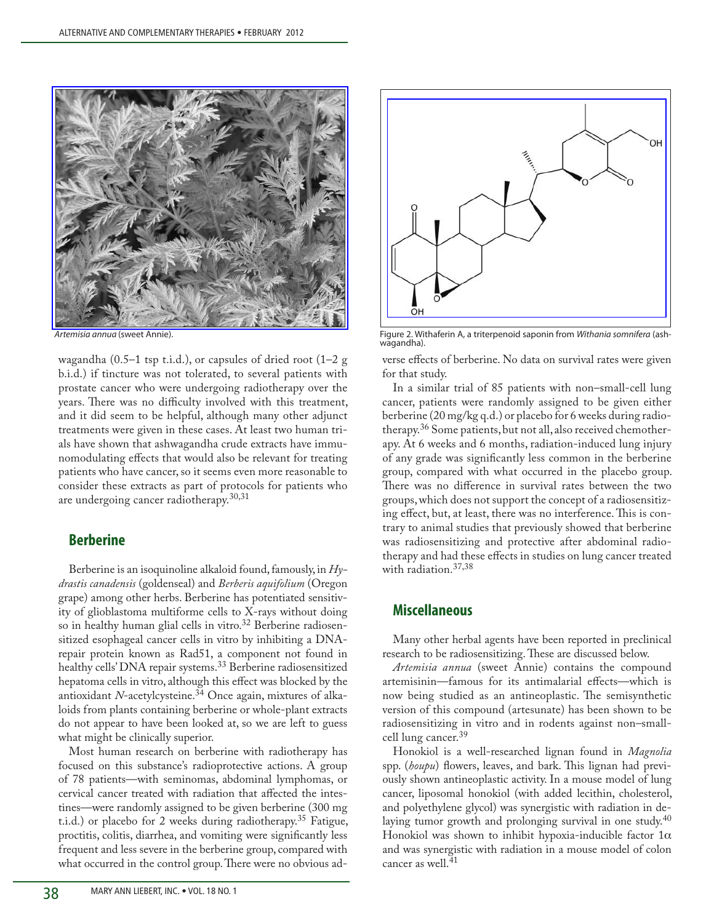

wagandha (0.5–1 tsp t.i.d.), or capsules of dried root (1–2 g b.i.d.) if tincture was not tolerated, to several patients with prostate cancer who were undergoing radiotherapy over the years. There was no difficulty involved with this treatment, and it did seem to be helpful, although many other adjunct treatments were given in these cases. At least two human trials have shown that ashwagandha crude extracts have immunomodulating effects that would also be relevant for treating patients who have cancer, so it seems even more reasonable to consider these extracts as part of protocols for patients who are undergoing cancer radiotherapy.<sup>30,31</sup>

#### **Berberine**

Berberine is an isoquinoline alkaloid found, famously, in *Hydrastis canadensis* (goldenseal) and *Berberis aquifolium* (Oregon grape) among other herbs. Berberine has potentiated sensitivity of glioblastoma multiforme cells to X-rays without doing so in healthy human glial cells in vitro.<sup>32</sup> Berberine radiosensitized esophageal cancer cells in vitro by inhibiting a DNArepair protein known as Rad51, a component not found in healthy cells' DNA repair systems.<sup>33</sup> Berberine radiosensitized hepatoma cells in vitro, although this effect was blocked by the antioxidant *N*-acetylcysteine.34 Once again, mixtures of alkaloids from plants containing berberine or whole-plant extracts do not appear to have been looked at, so we are left to guess what might be clinically superior.

Most human research on berberine with radiotherapy has focused on this substance's radioprotective actions. A group of 78 patients—with seminomas, abdominal lymphomas, or cervical cancer treated with radiation that affected the intestines—were randomly assigned to be given berberine (300 mg t.i.d.) or placebo for 2 weeks during radiotherapy.<sup>35</sup> Fatigue, proctitis, colitis, diarrhea, and vomiting were significantly less frequent and less severe in the berberine group, compared with what occurred in the control group. There were no obvious ad-



*Artemisia annua* (sweet Annie). Figure 2. Withaferin A, a triterpenoid saponin from *Withania somnifera* (ashwagandha).

verse effects of berberine. No data on survival rates were given for that study.

In a similar trial of 85 patients with non–small-cell lung cancer, patients were randomly assigned to be given either berberine (20 mg/kg q.d.) or placebo for 6 weeks during radiotherapy.36 Some patients, but not all, also received chemotherapy. At 6 weeks and 6 months, radiation-induced lung injury of any grade was significantly less common in the berberine group, compared with what occurred in the placebo group. There was no difference in survival rates between the two groups, which does not support the concept of a radiosensitizing effect, but, at least, there was no interference.This is contrary to animal studies that previously showed that berberine was radiosensitizing and protective after abdominal radiotherapy and had these effects in studies on lung cancer treated with radiation.<sup>37,38</sup>

#### **Miscellaneous**

Many other herbal agents have been reported in preclinical research to be radiosensitizing. These are discussed below.

*Artemisia annua* (sweet Annie) contains the compound artemisinin—famous for its antimalarial effects—which is now being studied as an antineoplastic. The semisynthetic version of this compound (artesunate) has been shown to be radiosensitizing in vitro and in rodents against non–smallcell lung cancer.<sup>39</sup>

Honokiol is a well-researched lignan found in *Magnolia*  spp. (*houpu*) flowers, leaves, and bark. This lignan had previously shown antineoplastic activity. In a mouse model of lung cancer, liposomal honokiol (with added lecithin, cholesterol, and polyethylene glycol) was synergistic with radiation in delaying tumor growth and prolonging survival in one study.<sup>40</sup> Honokiol was shown to inhibit hypoxia-inducible factor  $1\alpha$ and was synergistic with radiation in a mouse model of colon cancer as well.<sup>41</sup>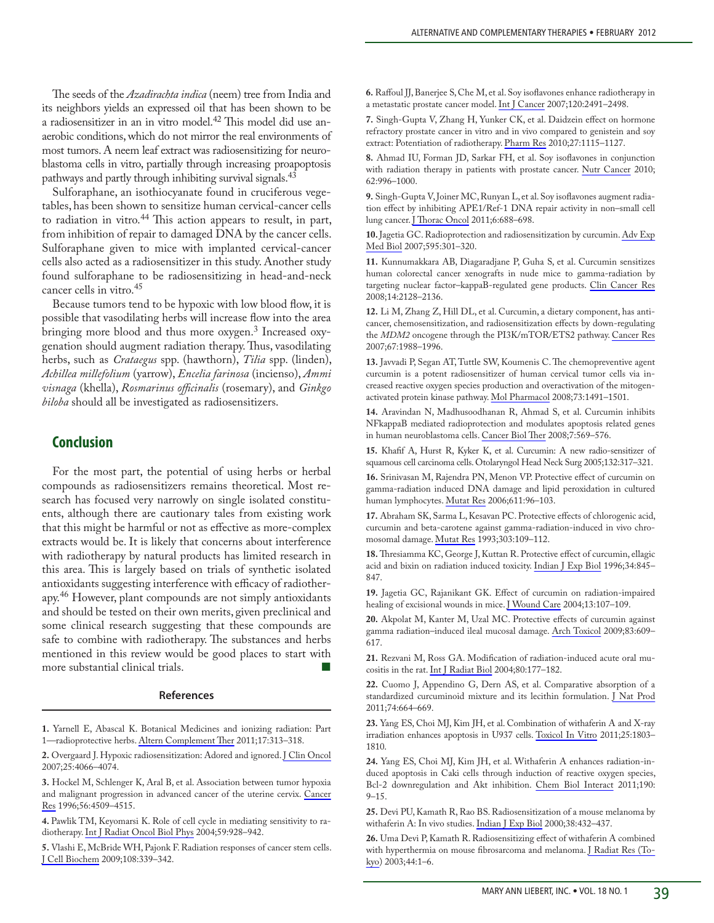The seeds of the *Azadirachta indica* (neem) tree from India and its neighbors yields an expressed oil that has been shown to be a radiosensitizer in an in vitro model.42 This model did use anaerobic conditions, which do not mirror the real environments of most tumors. A neem leaf extract was radiosensitizing for neuroblastoma cells in vitro, partially through increasing proapoptosis pathways and partly through inhibiting survival signals.<sup>43</sup>

Sulforaphane, an isothiocyanate found in cruciferous vegetables, has been shown to sensitize human cervical-cancer cells to radiation in vitro.<sup>44</sup> This action appears to result, in part, from inhibition of repair to damaged DNA by the cancer cells. Sulforaphane given to mice with implanted cervical-cancer cells also acted as a radiosensitizer in this study. Another study found sulforaphane to be radiosensitizing in head-and-neck cancer cells in vitro.45

Because tumors tend to be hypoxic with low blood flow, it is possible that vasodilating herbs will increase flow into the area bringing more blood and thus more oxygen.<sup>3</sup> Increased oxygenation should augment radiation therapy. Thus, vasodilating herbs, such as *Crataegus* spp. (hawthorn), *Tilia* spp. (linden), *Achillea millefolium* (yarrow), *Encelia farinosa* (incienso), *Ammi visnaga* (khella), *Rosmarinus officinalis* (rosemary), and *Ginkgo biloba* should all be investigated as radiosensitizers.

#### **Conclusion**

For the most part, the potential of using herbs or herbal compounds as radiosensitizers remains theoretical. Most research has focused very narrowly on single isolated constituents, although there are cautionary tales from existing work that this might be harmful or not as effective as more-complex extracts would be. It is likely that concerns about interference with radiotherapy by natural products has limited research in this area. This is largely based on trials of synthetic isolated antioxidants suggesting interference with efficacy of radiotherapy.46 However, plant compounds are not simply antioxidants and should be tested on their own merits, given preclinical and some clinical research suggesting that these compounds are safe to combine with radiotherapy. The substances and herbs mentioned in this review would be good places to start with more substantial clinical trials.

#### **References**

**1.** Yarnell E, Abascal K. Botanical Medicines and ionizing radiation: Part 1—radioprotective herbs. [Altern Complement Ther](http://online.liebertpub.com/action/showLinks?system=10.1089%2Fact.2011.17609) 2011;17:313–318.

**2.** Overgaard J. Hypoxic radiosensitization: Adored and ignored. [J Clin Oncol](http://online.liebertpub.com/action/showLinks?pmid=17827455&crossref=10.1200%2FJCO.2007.12.7878)  2007;25:4066–4074.

**3.** Hockel M, Schlenger K, Aral B, et al. Association between tumor hypoxia and malignant progression in advanced cancer of the uterine cervix. [Cancer](http://online.liebertpub.com/action/showLinks?pmid=8813149)  [Res](http://online.liebertpub.com/action/showLinks?pmid=8813149) 1996;56:4509–4515.

**4.** Pawlik TM, Keyomarsi K. Role of cell cycle in mediating sensitivity to radiotherapy. [Int J Radiat Oncol Biol Phys](http://online.liebertpub.com/action/showLinks?pmid=15234026&crossref=10.1016%2Fj.ijrobp.2004.03.005) 2004;59:928–942.

**5.** Vlashi E, McBride WH, Pajonk F. Radiation responses of cancer stem cells. [J Cell Biochem](http://online.liebertpub.com/action/showLinks?pmid=19623582&crossref=10.1002%2Fjcb.22275) 2009;108:339–342.

**6.** Raffoul JJ,Banerjee S,Che M, et al. Soy isoflavones enhance radiotherapy in a metastatic prostate cancer model. [Int J Cancer](http://online.liebertpub.com/action/showLinks?pmid=17304503&crossref=10.1002%2Fijc.22548) 2007;120:2491–2498.

**7.** Singh-Gupta V, Zhang H, Yunker CK, et al. Daidzein effect on hormone refractory prostate cancer in vitro and in vivo compared to genistein and soy extract: Potentiation of radiotherapy. [Pharm Res](http://online.liebertpub.com/action/showLinks?pmid=20309614&crossref=10.1007%2Fs11095-010-0107-9) 2010;27:1115–1127.

**8.** Ahmad IU, Forman JD, Sarkar FH, et al. Soy isoflavones in conjunction with radiation therapy in patients with prostate cancer. [Nutr Cancer](http://online.liebertpub.com/action/showLinks?pmid=20924975&crossref=10.1080%2F01635581.2010.509839) 2010; 62:996–1000.

**9.** Singh-Gupta V, Joiner MC, Runyan L, et al. Soy isoflavones augment radiation effect by inhibiting APE1/Ref-1 DNA repair activity in non–small cell lung cancer. [J Thorac Oncol](http://online.liebertpub.com/action/showLinks?pmid=21325978&crossref=10.1097%2FJTO.0b013e31821034ae) 2011;6:688–698.

**10.** Jagetia GC. Radioprotection and radiosensitization by curcumin. [Adv Exp](http://online.liebertpub.com/action/showLinks?pmid=17569217&crossref=10.1007%2F978-0-387-46401-5_13)  [Med Biol](http://online.liebertpub.com/action/showLinks?pmid=17569217&crossref=10.1007%2F978-0-387-46401-5_13) 2007;595:301–320.

**11.** Kunnumakkara AB, Diagaradjane P, Guha S, et al. Curcumin sensitizes human colorectal cancer xenografts in nude mice to gamma-radiation by targeting nuclear factor–kappaB-regulated gene products. [Clin Cancer Res](http://online.liebertpub.com/action/showLinks?pmid=18381954&crossref=10.1158%2F1078-0432.CCR-07-4722)  2008;14:2128–2136.

**12.** Li M, Zhang Z, Hill DL, et al. Curcumin, a dietary component, has anticancer, chemosensitization, and radiosensitization effects by down-regulating the *MDM2* oncogene through the PI3K/mTOR/ETS2 pathway. [Cancer Res](http://online.liebertpub.com/action/showLinks?pmid=17332326&crossref=10.1158%2F0008-5472.CAN-06-3066)  2007;67:1988–1996.

**13.** Javvadi P, Segan AT, Tuttle SW, Koumenis C. The chemopreventive agent curcumin is a potent radiosensitizer of human cervical tumor cells via increased reactive oxygen species production and overactivation of the mitogenactivated protein kinase pathway. [Mol Pharmacol](http://online.liebertpub.com/action/showLinks?pmid=18252805&crossref=10.1124%2Fmol.107.043554) 2008;73:1491–1501.

**14.** Aravindan N, Madhusoodhanan R, Ahmad S, et al. Curcumin inhibits NFkappaB mediated radioprotection and modulates apoptosis related genes in human neuroblastoma cells. [Cancer Biol Ther](http://online.liebertpub.com/action/showLinks?pmid=18305409) 2008;7:569–576.

**15.** Khafif A, Hurst R, Kyker K, et al. Curcumin: A new radio-sensitizer of squamous cell carcinoma cells. Otolaryngol Head Neck Surg 2005;132:317–321.

**16.** Srinivasan M, Rajendra PN, Menon VP. Protective effect of curcumin on gamma-radiation induced DNA damage and lipid peroxidation in cultured human lymphocytes. [Mutat Res](http://online.liebertpub.com/action/showLinks?pmid=16973408) 2006;611:96–103.

**17.** Abraham SK, Sarma L, Kesavan PC.Protective effects of chlorogenic acid, curcumin and beta-carotene against gamma-radiation-induced in vivo chromosomal damage. [Mutat Res](http://online.liebertpub.com/action/showLinks?pmid=7694126&crossref=10.1016%2F0165-7992%2893%2990022-N) 1993;303:109–112.

**18.** Thresiamma KC, George J, Kuttan R. Protective effect of curcumin, ellagic acid and bixin on radiation induced toxicity. [Indian J Exp Biol](http://online.liebertpub.com/action/showLinks?pmid=9014516) 1996;34:845– 847.

**19.** Jagetia GC, Rajanikant GK. Effect of curcumin on radiation-impaired healing of excisional wounds in mice. [J Wound Care](http://online.liebertpub.com/action/showLinks?pmid=15045805) 2004;13:107-109.

**20.** Akpolat M, Kanter M, Uzal MC. Protective effects of curcumin against gamma radiation–induced ileal mucosal damage. [Arch Toxicol](http://online.liebertpub.com/action/showLinks?pmid=18754102&crossref=10.1007%2Fs00204-008-0352-4) 2009;83:609– 617.

**21.** Rezvani M, Ross GA. Modification of radiation-induced acute oral mucositis in the rat. [Int J Radiat Biol](http://online.liebertpub.com/action/showLinks?pmid=15164799&crossref=10.1080%2F09553000310001654693) 2004;80:177–182.

**22.** Cuomo J, Appendino G, Dern AS, et al. Comparative absorption of a standardized curcuminoid mixture and its lecithin formulation. [J Nat Prod](http://online.liebertpub.com/action/showLinks?pmid=21413691&crossref=10.1021%2Fnp1007262) 2011;74:664–669.

**23.** Yang ES, Choi MJ, Kim JH, et al. Combination of withaferin A and X-ray irradiation enhances apoptosis in U937 cells. [Toxicol In Vitro](http://online.liebertpub.com/action/showLinks?pmid=21964475&crossref=10.1016%2Fj.tiv.2011.09.016) 2011;25:1803– 1810.

**24.** Yang ES, Choi MJ, Kim JH, et al. Withaferin A enhances radiation-induced apoptosis in Caki cells through induction of reactive oxygen species, Bcl-2 downregulation and Akt inhibition. [Chem Biol Interact](http://online.liebertpub.com/action/showLinks?pmid=21256832&crossref=10.1016%2Fj.cbi.2011.01.015) 2011;190:  $9 - 15$ .

**25.** Devi PU, Kamath R, Rao BS. Radiosensitization of a mouse melanoma by withaferin A: In vivo studies. [Indian J Exp Biol](http://online.liebertpub.com/action/showLinks?pmid=11272405) 2000;38:432–437.

26. Uma Devi P, Kamath R. Radiosensitizing effect of withaferin A combined with hyperthermia on mouse fibrosarcoma and melanoma. [J Radiat Res \(To](http://online.liebertpub.com/action/showLinks?pmid=12841592&crossref=10.1269%2Fjrr.44.1)[kyo](http://online.liebertpub.com/action/showLinks?pmid=12841592&crossref=10.1269%2Fjrr.44.1)) 2003;44:1–6.